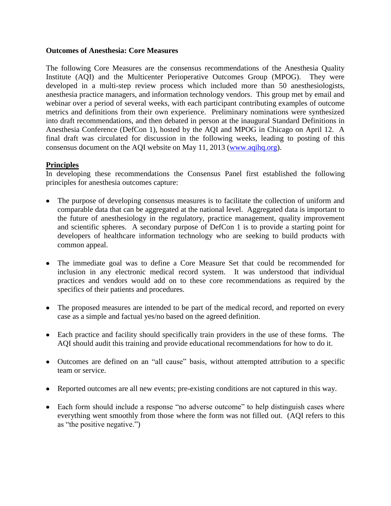### **Outcomes of Anesthesia: Core Measures**

The following Core Measures are the consensus recommendations of the Anesthesia Quality Institute (AQI) and the Multicenter Perioperative Outcomes Group (MPOG). They were developed in a multi-step review process which included more than 50 anesthesiologists, anesthesia practice managers, and information technology vendors. This group met by email and webinar over a period of several weeks, with each participant contributing examples of outcome metrics and definitions from their own experience. Preliminary nominations were synthesized into draft recommendations, and then debated in person at the inaugural Standard Definitions in Anesthesia Conference (DefCon 1), hosted by the AQI and MPOG in Chicago on April 12. A final draft was circulated for discussion in the following weeks, leading to posting of this consensus document on the AQI website on May 11, 2013 [\(www.aqihq.org\)](http://www.aqihq.org/).

### **Principles**

In developing these recommendations the Consensus Panel first established the following principles for anesthesia outcomes capture:

- The purpose of developing consensus measures is to facilitate the collection of uniform and comparable data that can be aggregated at the national level. Aggregated data is important to the future of anesthesiology in the regulatory, practice management, quality improvement and scientific spheres. A secondary purpose of DefCon 1 is to provide a starting point for developers of healthcare information technology who are seeking to build products with common appeal.
- The immediate goal was to define a Core Measure Set that could be recommended for inclusion in any electronic medical record system. It was understood that individual practices and vendors would add on to these core recommendations as required by the specifics of their patients and procedures.
- The proposed measures are intended to be part of the medical record, and reported on every case as a simple and factual yes/no based on the agreed definition.
- Each practice and facility should specifically train providers in the use of these forms. The AQI should audit this training and provide educational recommendations for how to do it.
- Outcomes are defined on an "all cause" basis, without attempted attribution to a specific team or service.
- Reported outcomes are all new events; pre-existing conditions are not captured in this way.
- Each form should include a response "no adverse outcome" to help distinguish cases where everything went smoothly from those where the form was not filled out. (AQI refers to this as "the positive negative.")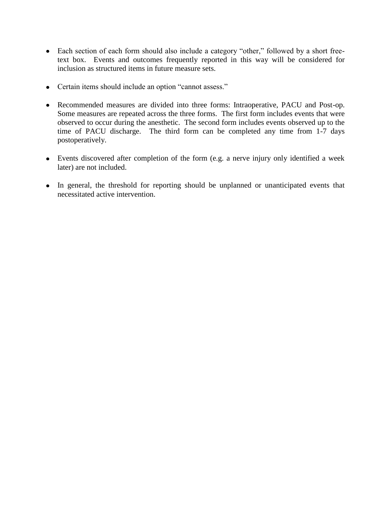- Each section of each form should also include a category "other," followed by a short freetext box. Events and outcomes frequently reported in this way will be considered for inclusion as structured items in future measure sets.
- Certain items should include an option "cannot assess."
- Recommended measures are divided into three forms: Intraoperative, PACU and Post-op. Some measures are repeated across the three forms. The first form includes events that were observed to occur during the anesthetic. The second form includes events observed up to the time of PACU discharge. The third form can be completed any time from 1-7 days postoperatively.
- Events discovered after completion of the form (e.g. a nerve injury only identified a week later) are not included.
- In general, the threshold for reporting should be unplanned or unanticipated events that necessitated active intervention.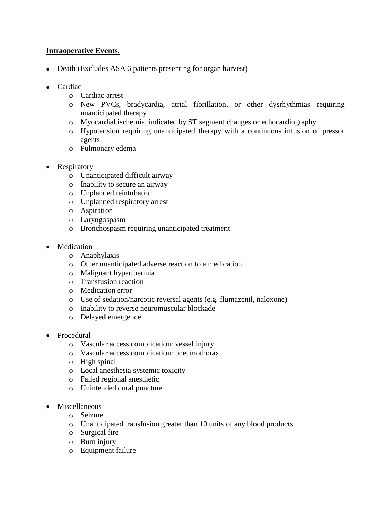## **Intraoperative Events.**

- Death (Excludes ASA 6 patients presenting for organ harvest)
- Cardiac
	- o Cardiac arrest
	- o New PVCs, bradycardia, atrial fibrillation, or other dysrhythmias requiring unanticipated therapy
	- o Myocardial ischemia, indicated by ST segment changes or echocardiography
	- o Hypotension requiring unanticipated therapy with a continuous infusion of pressor agents
	- o Pulmonary edema
- Respiratory
	- o Unanticipated difficult airway
	- o Inability to secure an airway
	- o Unplanned reintubation
	- o Unplanned respiratory arrest
	- o Aspiration
	- o Laryngospasm
	- o Bronchospasm requiring unanticipated treatment
- Medication
	- o Anaphylaxis
	- o Other unanticipated adverse reaction to a medication
	- o Malignant hyperthermia
	- o Transfusion reaction
	- o Medication error
	- o Use of sedation/narcotic reversal agents (e.g. flumazenil, naloxone)
	- o Inability to reverse neuromuscular blockade
	- o Delayed emergence
- Procedural
	- o Vascular access complication: vessel injury
	- o Vascular access complication: pneumothorax
	- o High spinal
	- o Local anesthesia systemic toxicity
	- o Failed regional anesthetic
	- o Unintended dural puncture
- Miscellaneous
	- o Seizure
	- o Unanticipated transfusion greater than 10 units of any blood products
	- o Surgical fire
	- o Burn injury
	- o Equipment failure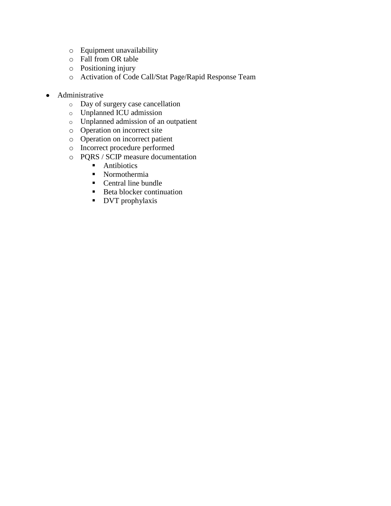- o Equipment unavailability
- o Fall from OR table
- o Positioning injury
- o Activation of Code Call/Stat Page/Rapid Response Team
- Administrative
	- o Day of surgery case cancellation
	- o Unplanned ICU admission
	- o Unplanned admission of an outpatient
	- o Operation on incorrect site
	- o Operation on incorrect patient
	- o Incorrect procedure performed
	- o PQRS / SCIP measure documentation
		- **Antibiotics**
		- Normothermia
		- Central line bundle
		- Beta blocker continuation
		- **DVT** prophylaxis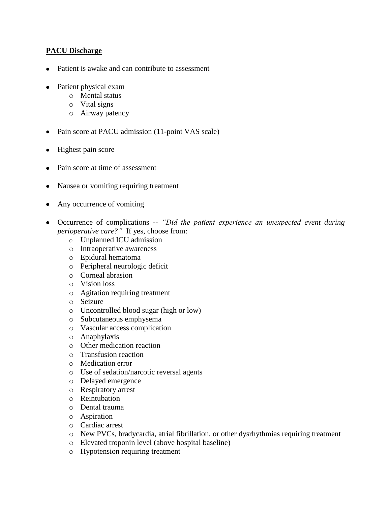# **PACU Discharge**

- Patient is awake and can contribute to assessment
- Patient physical exam  $\bullet$ 
	- o Mental status
	- o Vital signs
	- o Airway patency
- Pain score at PACU admission (11-point VAS scale)
- Highest pain score
- Pain score at time of assessment
- Nausea or vomiting requiring treatment
- Any occurrence of vomiting
- Occurrence of complications -- *"Did the patient experience an unexpected event during perioperative care?"* If yes, choose from:
	- o Unplanned ICU admission
	- o Intraoperative awareness
	- o Epidural hematoma
	- o Peripheral neurologic deficit
	- o Corneal abrasion
	- o Vision loss
	- o Agitation requiring treatment
	- o Seizure
	- o Uncontrolled blood sugar (high or low)
	- o Subcutaneous emphysema
	- o Vascular access complication
	- o Anaphylaxis
	- o Other medication reaction
	- o Transfusion reaction
	- o Medication error
	- o Use of sedation/narcotic reversal agents
	- o Delayed emergence
	- o Respiratory arrest
	- o Reintubation
	- o Dental trauma
	- o Aspiration
	- o Cardiac arrest
	- o New PVCs, bradycardia, atrial fibrillation, or other dysrhythmias requiring treatment
	- o Elevated troponin level (above hospital baseline)
	- o Hypotension requiring treatment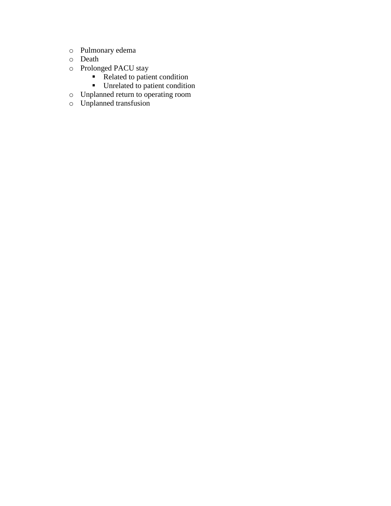- o Pulmonary edema
- o Death
- o Prolonged PACU stay
	- Related to patient condition
	- **Unrelated to patient condition**
- o Unplanned return to operating room
- o Unplanned transfusion